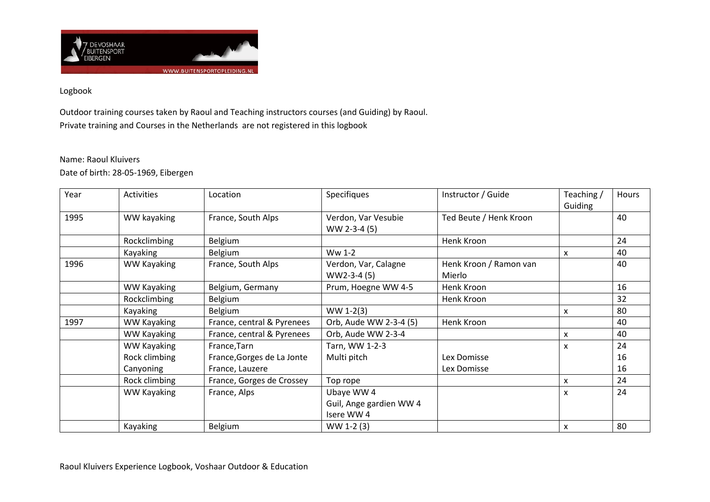

## Logbook

Outdoor training courses taken by Raoul and Teaching instructors courses (and Guiding) by Raoul. Private training and Courses in the Netherlands are not registered in this logbook

## Name: Raoul Kluivers

Date of birth: 28-05-1969, Eibergen

| Year | <b>Activities</b>  | Location                   | Specifiques             | Instructor / Guide     | Teaching /            | <b>Hours</b> |
|------|--------------------|----------------------------|-------------------------|------------------------|-----------------------|--------------|
|      |                    |                            |                         |                        | Guiding               |              |
| 1995 | WW kayaking        | France, South Alps         | Verdon, Var Vesubie     | Ted Beute / Henk Kroon |                       | 40           |
|      |                    |                            | WW 2-3-4 (5)            |                        |                       |              |
|      | Rockclimbing       | Belgium                    |                         | Henk Kroon             |                       | 24           |
|      | Kayaking           | Belgium                    | Ww 1-2                  |                        | X                     | 40           |
| 1996 | <b>WW Kayaking</b> | France, South Alps         | Verdon, Var, Calagne    | Henk Kroon / Ramon van |                       | 40           |
|      |                    |                            | WW2-3-4 (5)             | Mierlo                 | x                     |              |
|      | <b>WW Kayaking</b> | Belgium, Germany           | Prum, Hoegne WW 4-5     | Henk Kroon             |                       | 16           |
|      | Rockclimbing       | Belgium                    |                         | Henk Kroon             |                       | 32           |
|      | Kayaking           | Belgium                    | $WW 1-2(3)$             |                        |                       | 80           |
| 1997 | <b>WW Kayaking</b> | France, central & Pyrenees | Orb, Aude WW 2-3-4 (5)  | Henk Kroon             | X<br>X<br>X<br>X<br>x | 40           |
|      | <b>WW Kayaking</b> | France, central & Pyrenees | Orb, Aude WW 2-3-4      |                        |                       | 40           |
|      | <b>WW Kayaking</b> | France, Tarn               | Tarn, WW 1-2-3          |                        |                       | 24           |
|      | Rock climbing      | France, Gorges de La Jonte | Multi pitch             | Lex Domisse            |                       | 16           |
|      | Canyoning          | France, Lauzere            |                         | Lex Domisse            |                       | 16           |
|      | Rock climbing      | France, Gorges de Crossey  | Top rope                |                        |                       | 24           |
|      | <b>WW Kayaking</b> | France, Alps               | Ubaye WW 4              |                        |                       | 24           |
|      |                    |                            | Guil, Ange gardien WW 4 |                        |                       |              |
|      |                    |                            | Isere WW4               |                        |                       |              |
|      | Kayaking           | Belgium                    | WW 1-2 (3)              |                        |                       | 80           |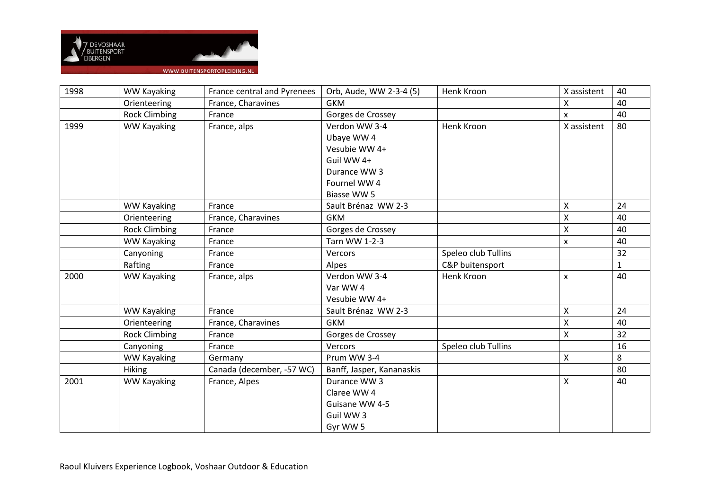

| 1998 | <b>WW Kayaking</b>   | France central and Pyrenees | Orb, Aude, WW 2-3-4 (5)   | Henk Kroon          | X assistent        | 40           |
|------|----------------------|-----------------------------|---------------------------|---------------------|--------------------|--------------|
|      | Orienteering         | France, Charavines          | <b>GKM</b>                |                     | X                  | 40           |
|      | <b>Rock Climbing</b> | France                      | Gorges de Crossey         |                     | X                  | 40           |
| 1999 | <b>WW Kayaking</b>   | France, alps                | Verdon WW 3-4             | Henk Kroon          | X assistent        | 80           |
|      |                      |                             | Ubaye WW 4                |                     |                    |              |
|      |                      |                             | Vesubie WW 4+             |                     |                    |              |
|      |                      |                             | Guil WW 4+                |                     |                    |              |
|      |                      |                             | Durance WW 3              |                     |                    |              |
|      |                      |                             | Fournel WW 4              |                     |                    |              |
|      |                      |                             | Biasse WW 5               |                     |                    |              |
|      | <b>WW Kayaking</b>   | France                      | Sault Brénaz WW 2-3       |                     | X                  | 24           |
|      | Orienteering         | France, Charavines          | <b>GKM</b>                |                     | X                  | 40           |
|      | <b>Rock Climbing</b> | France                      | Gorges de Crossey         |                     | X                  | 40           |
|      | <b>WW Kayaking</b>   | France                      | Tarn WW 1-2-3             |                     | $\mathsf{x}$       | 40           |
|      | Canyoning            | France                      | Vercors                   | Speleo club Tullins |                    | 32           |
|      | Rafting              | France                      | Alpes                     | C&P buitensport     |                    | $\mathbf{1}$ |
| 2000 | <b>WW Kayaking</b>   | France, alps                | Verdon WW 3-4             | Henk Kroon          | X                  | 40           |
|      |                      |                             | Var WW 4                  |                     |                    |              |
|      |                      |                             | Vesubie WW 4+             |                     |                    |              |
|      | <b>WW Kayaking</b>   | France                      | Sault Brénaz WW 2-3       |                     | X                  | 24           |
|      | Orienteering         | France, Charavines          | <b>GKM</b>                |                     | $\pmb{\mathsf{X}}$ | 40           |
|      | <b>Rock Climbing</b> | France                      | Gorges de Crossey         |                     | $\pmb{\mathsf{X}}$ | 32           |
|      | Canyoning            | France                      | Vercors                   | Speleo club Tullins |                    | 16           |
|      | <b>WW Kayaking</b>   | Germany                     | Prum WW 3-4               |                     | X                  | 8            |
|      | Hiking               | Canada (december, -57 WC)   | Banff, Jasper, Kananaskis |                     |                    | 80           |
| 2001 | <b>WW Kayaking</b>   | France, Alpes               | Durance WW 3              |                     | $\mathsf{X}$       | 40           |
|      |                      |                             | Claree WW 4               |                     |                    |              |
|      |                      |                             | Guisane WW 4-5            |                     |                    |              |
|      |                      |                             | Guil WW 3                 |                     |                    |              |
|      |                      |                             | Gyr WW 5                  |                     |                    |              |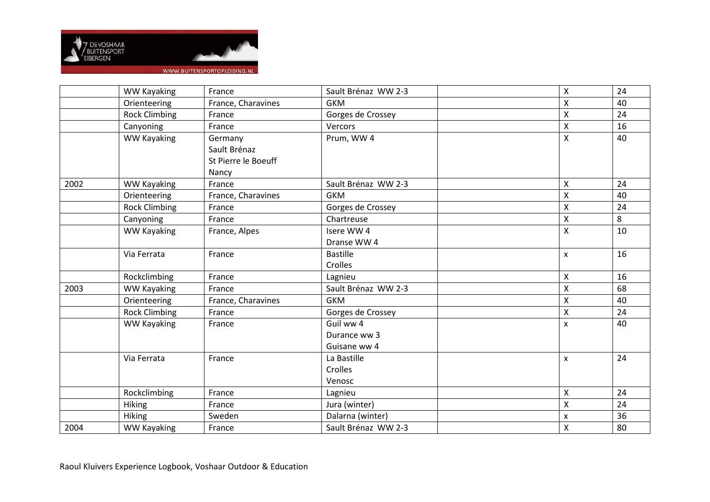

|                      |                                    |                              |                                   |                         | 24     |
|----------------------|------------------------------------|------------------------------|-----------------------------------|-------------------------|--------|
|                      |                                    |                              |                                   |                         | 40     |
| <b>Rock Climbing</b> | France                             | Gorges de Crossey            |                                   | Χ                       | 24     |
| Canyoning            | France                             | Vercors                      |                                   | X                       | 16     |
| <b>WW Kayaking</b>   | Germany                            | Prum, WW 4                   |                                   | Χ                       | 40     |
|                      | Sault Brénaz                       |                              |                                   |                         |        |
|                      | St Pierre le Boeuff                |                              |                                   |                         |        |
|                      | Nancy                              |                              |                                   |                         |        |
| <b>WW Kayaking</b>   | France                             | Sault Brénaz WW 2-3          |                                   | Χ                       | 24     |
| Orienteering         | France, Charavines                 | <b>GKM</b>                   |                                   | Χ                       | 40     |
| <b>Rock Climbing</b> | France                             | Gorges de Crossey            |                                   | Χ                       | 24     |
| Canyoning            | France                             | Chartreuse                   |                                   | X                       | 8      |
| <b>WW Kayaking</b>   | France, Alpes                      | Isere WW4                    |                                   | X                       | 10     |
|                      |                                    | Dranse WW 4                  |                                   |                         |        |
| Via Ferrata          | France                             | <b>Bastille</b>              |                                   | x                       | 16     |
|                      |                                    | Crolles                      |                                   |                         |        |
| Rockclimbing         | France                             | Lagnieu                      |                                   | X                       | 16     |
| <b>WW Kayaking</b>   | France                             | Sault Brénaz WW 2-3          |                                   | X                       | 68     |
| Orienteering         | France, Charavines                 | <b>GKM</b>                   |                                   | $\mathsf{\overline{X}}$ | 40     |
| <b>Rock Climbing</b> | France                             | Gorges de Crossey            |                                   | X                       | 24     |
| <b>WW Kayaking</b>   | France                             | Guil ww 4                    |                                   | x                       | 40     |
|                      |                                    | Durance ww 3                 |                                   |                         |        |
|                      |                                    | Guisane ww 4                 |                                   |                         |        |
| Via Ferrata          | France                             | La Bastille                  |                                   | X                       | 24     |
|                      |                                    | Crolles                      |                                   |                         |        |
|                      |                                    | Venosc                       |                                   |                         |        |
| Rockclimbing         | France                             | Lagnieu                      |                                   | Χ                       | 24     |
| <b>Hiking</b>        | France                             | Jura (winter)                |                                   | X                       | 24     |
| Hiking               | Sweden                             | Dalarna (winter)             |                                   | X                       | 36     |
| <b>WW Kayaking</b>   | France                             | Sault Brénaz WW 2-3          |                                   | X                       | 80     |
|                      | <b>WW Kayaking</b><br>Orienteering | France<br>France, Charavines | Sault Brénaz WW 2-3<br><b>GKM</b> |                         | Χ<br>Χ |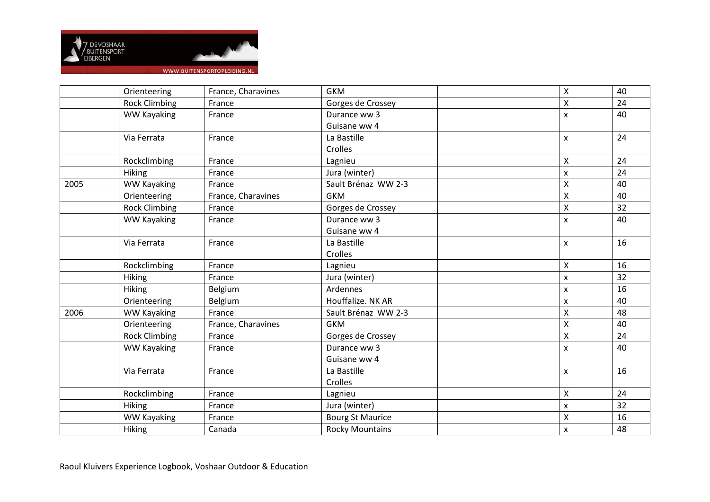

|      | Orienteering         | France, Charavines | <b>GKM</b>              | Χ | 40 |
|------|----------------------|--------------------|-------------------------|---|----|
|      | <b>Rock Climbing</b> | France             | Gorges de Crossey       | X | 24 |
|      | <b>WW Kayaking</b>   | France             | Durance ww 3            | x | 40 |
|      |                      |                    | Guisane ww 4            |   |    |
|      | Via Ferrata          | France             | La Bastille             | x | 24 |
|      |                      |                    | Crolles                 |   |    |
|      | Rockclimbing         | France             | Lagnieu                 | Χ | 24 |
|      | Hiking               | France             | Jura (winter)           | x | 24 |
| 2005 | <b>WW Kayaking</b>   | France             | Sault Brénaz WW 2-3     | X | 40 |
|      | Orienteering         | France, Charavines | <b>GKM</b>              | X | 40 |
|      | <b>Rock Climbing</b> | France             | Gorges de Crossey       | X | 32 |
|      | <b>WW Kayaking</b>   | France             | Durance ww 3            | x | 40 |
|      |                      |                    | Guisane ww 4            |   |    |
|      | Via Ferrata          | France             | La Bastille             | x | 16 |
|      |                      |                    | Crolles                 |   |    |
|      | Rockclimbing         | France             | Lagnieu                 | X | 16 |
|      | Hiking               | France             | Jura (winter)           | X | 32 |
|      | <b>Hiking</b>        | Belgium            | Ardennes                | x | 16 |
|      | Orienteering         | Belgium            | Houffalize. NK AR       | x | 40 |
| 2006 | WW Kayaking          | France             | Sault Brénaz WW 2-3     | X | 48 |
|      | Orienteering         | France, Charavines | <b>GKM</b>              | Χ | 40 |
|      | <b>Rock Climbing</b> | France             | Gorges de Crossey       | Χ | 24 |
|      | <b>WW Kayaking</b>   | France             | Durance ww 3            | x | 40 |
|      |                      |                    | Guisane ww 4            |   |    |
|      | Via Ferrata          | France             | La Bastille             | X | 16 |
|      |                      |                    | Crolles                 |   |    |
|      | Rockclimbing         | France             | Lagnieu                 | Χ | 24 |
|      | Hiking               | France             | Jura (winter)           | x | 32 |
|      | <b>WW Kayaking</b>   | France             | <b>Bourg St Maurice</b> | X | 16 |
|      | Hiking               | Canada             | <b>Rocky Mountains</b>  | x | 48 |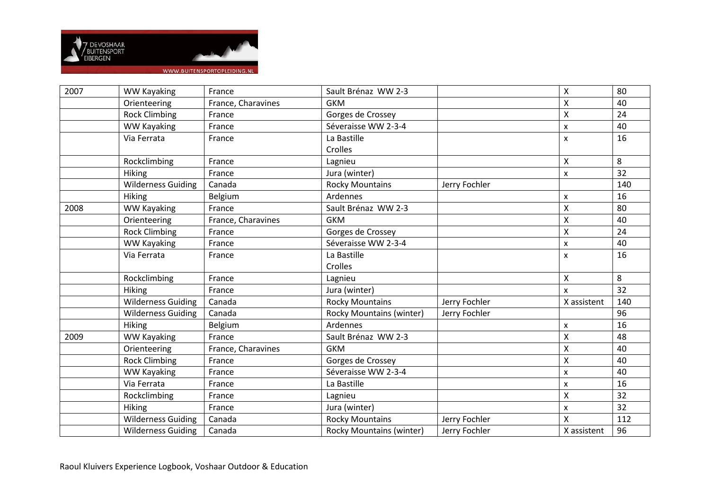

| 2007 | <b>WW Kayaking</b>        | France             | Sault Brénaz WW 2-3             |               | X                  | 80  |
|------|---------------------------|--------------------|---------------------------------|---------------|--------------------|-----|
|      | Orienteering              | France, Charavines | <b>GKM</b>                      |               | X                  | 40  |
|      | <b>Rock Climbing</b>      | France             | Gorges de Crossey               |               | X                  | 24  |
|      | <b>WW Kayaking</b>        | France             | Séveraisse WW 2-3-4             |               | X                  | 40  |
|      | Via Ferrata               | France             | La Bastille                     |               | X                  | 16  |
|      |                           |                    | Crolles                         |               |                    |     |
|      | Rockclimbing              | France             | Lagnieu                         |               | X                  | 8   |
|      | Hiking                    | France             | Jura (winter)                   |               | X                  | 32  |
|      | <b>Wilderness Guiding</b> | Canada             | <b>Rocky Mountains</b>          | Jerry Fochler |                    | 140 |
|      | <b>Hiking</b>             | Belgium            | Ardennes                        |               | $\pmb{\mathsf{x}}$ | 16  |
| 2008 | <b>WW Kayaking</b>        | France             | Sault Brénaz WW 2-3             |               | $\pmb{\mathsf{X}}$ | 80  |
|      | Orienteering              | France, Charavines | <b>GKM</b>                      |               | $\pmb{\times}$     | 40  |
|      | <b>Rock Climbing</b>      | France             | Gorges de Crossey               |               | $\pmb{\times}$     | 24  |
|      | WW Kayaking               | France             | Séveraisse WW 2-3-4             |               | $\pmb{\mathsf{x}}$ | 40  |
|      | Via Ferrata               | France             | La Bastille                     |               | X                  | 16  |
|      |                           |                    | Crolles                         |               |                    |     |
|      | Rockclimbing              | France             | Lagnieu                         |               | X                  | 8   |
|      | <b>Hiking</b>             | France             | Jura (winter)                   |               | $\mathsf{x}$       | 32  |
|      | <b>Wilderness Guiding</b> | Canada             | <b>Rocky Mountains</b>          | Jerry Fochler | X assistent        | 140 |
|      | <b>Wilderness Guiding</b> | Canada             | <b>Rocky Mountains (winter)</b> | Jerry Fochler |                    | 96  |
|      | <b>Hiking</b>             | Belgium            | Ardennes                        |               | X                  | 16  |
| 2009 | <b>WW Kayaking</b>        | France             | Sault Brénaz WW 2-3             |               | $\mathsf{\chi}$    | 48  |
|      | Orienteering              | France, Charavines | <b>GKM</b>                      |               | $\pmb{\times}$     | 40  |
|      | <b>Rock Climbing</b>      | France             | Gorges de Crossey               |               | $\pmb{\times}$     | 40  |
|      | <b>WW Kayaking</b>        | France             | Séveraisse WW 2-3-4             |               | X                  | 40  |
|      | Via Ferrata               | France             | La Bastille                     |               | X                  | 16  |
|      | Rockclimbing              | France             | Lagnieu                         |               | $\pmb{\mathsf{X}}$ | 32  |
|      | Hiking                    | France             | Jura (winter)                   |               | $\pmb{\mathsf{x}}$ | 32  |
|      | <b>Wilderness Guiding</b> | Canada             | <b>Rocky Mountains</b>          | Jerry Fochler | $\sf X$            | 112 |
|      | <b>Wilderness Guiding</b> | Canada             | <b>Rocky Mountains (winter)</b> | Jerry Fochler | X assistent        | 96  |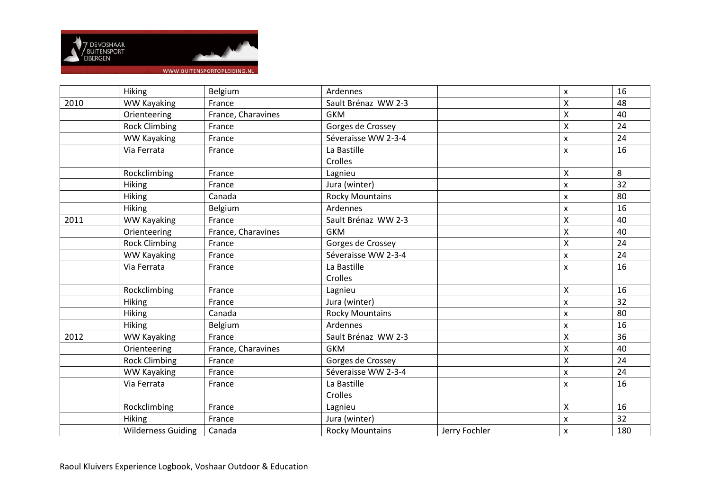

|      | Hiking                    | Belgium            | Ardennes               |               | $\pmb{\times}$     | 16  |
|------|---------------------------|--------------------|------------------------|---------------|--------------------|-----|
| 2010 | <b>WW Kayaking</b>        | France             | Sault Brénaz WW 2-3    |               | $\mathsf{\chi}$    | 48  |
|      | Orienteering              | France, Charavines | <b>GKM</b>             |               | $\mathsf{\chi}$    | 40  |
|      | <b>Rock Climbing</b>      | France             | Gorges de Crossey      |               | $\mathsf{\chi}$    | 24  |
|      | <b>WW Kayaking</b>        | France             | Séveraisse WW 2-3-4    |               | $\pmb{\times}$     | 24  |
|      | Via Ferrata               | France             | La Bastille            |               | $\pmb{\times}$     | 16  |
|      |                           |                    | Crolles                |               |                    |     |
|      | Rockclimbing              | France             | Lagnieu                |               | X                  | 8   |
|      | Hiking                    | France             | Jura (winter)          |               | X                  | 32  |
|      | Hiking                    | Canada             | <b>Rocky Mountains</b> |               | $\pmb{\times}$     | 80  |
|      | <b>Hiking</b>             | Belgium            | Ardennes               |               | $\pmb{\times}$     | 16  |
| 2011 | <b>WW Kayaking</b>        | France             | Sault Brénaz WW 2-3    |               | $\pmb{\mathsf{X}}$ | 40  |
|      | Orienteering              | France, Charavines | <b>GKM</b>             |               | $\mathsf{\chi}$    | 40  |
|      | <b>Rock Climbing</b>      | France             | Gorges de Crossey      |               | $\mathsf{\chi}$    | 24  |
|      | <b>WW Kayaking</b>        | France             | Séveraisse WW 2-3-4    |               | X                  | 24  |
|      | Via Ferrata               | France             | La Bastille            |               | $\pmb{\times}$     | 16  |
|      |                           |                    | Crolles                |               |                    |     |
|      | Rockclimbing              | France             | Lagnieu                |               | $\pmb{\times}$     | 16  |
|      | Hiking                    | France             | Jura (winter)          |               | X                  | 32  |
|      | Hiking                    | Canada             | <b>Rocky Mountains</b> |               | $\pmb{\times}$     | 80  |
|      | <b>Hiking</b>             | Belgium            | Ardennes               |               | $\pmb{\times}$     | 16  |
| 2012 | <b>WW Kayaking</b>        | France             | Sault Brénaz WW 2-3    |               | $\mathsf{\chi}$    | 36  |
|      | Orienteering              | France, Charavines | <b>GKM</b>             |               | $\pmb{\mathsf{X}}$ | 40  |
|      | <b>Rock Climbing</b>      | France             | Gorges de Crossey      |               | $\mathsf{\chi}$    | 24  |
|      | <b>WW Kayaking</b>        | France             | Séveraisse WW 2-3-4    |               | X                  | 24  |
|      | Via Ferrata               | France             | La Bastille            |               | $\pmb{\times}$     | 16  |
|      |                           |                    | Crolles                |               |                    |     |
|      | Rockclimbing              | France             | Lagnieu                |               | $\pmb{\mathsf{X}}$ | 16  |
|      | <b>Hiking</b>             | France             | Jura (winter)          |               | X                  | 32  |
|      | <b>Wilderness Guiding</b> | Canada             | <b>Rocky Mountains</b> | Jerry Fochler | $\pmb{\times}$     | 180 |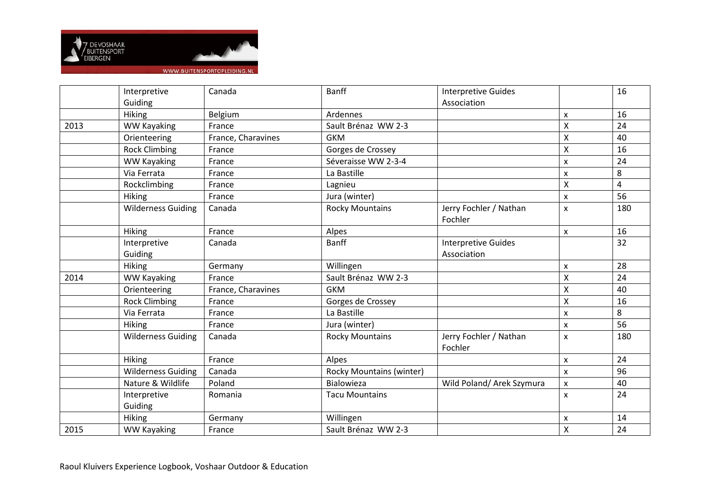

|      | Interpretive              | Canada             | <b>Banff</b>                    | <b>Interpretive Guides</b>        |   | 16  |
|------|---------------------------|--------------------|---------------------------------|-----------------------------------|---|-----|
|      | Guiding                   |                    |                                 | Association                       |   |     |
|      | <b>Hiking</b>             | Belgium            | Ardennes                        |                                   | X | 16  |
| 2013 | <b>WW Kayaking</b>        | France             | Sault Brénaz WW 2-3             |                                   | X | 24  |
|      | Orienteering              | France, Charavines | <b>GKM</b>                      |                                   | X | 40  |
|      | <b>Rock Climbing</b>      | France             | Gorges de Crossey               |                                   | X | 16  |
|      | <b>WW Kayaking</b>        | France             | Séveraisse WW 2-3-4             |                                   | X | 24  |
|      | Via Ferrata               | France             | La Bastille                     |                                   | x | 8   |
|      | Rockclimbing              | France             | Lagnieu                         |                                   | X | 4   |
|      | <b>Hiking</b>             | France             | Jura (winter)                   |                                   | X | 56  |
|      | <b>Wilderness Guiding</b> | Canada             | <b>Rocky Mountains</b>          | Jerry Fochler / Nathan<br>Fochler | x | 180 |
|      | Hiking                    | France             | Alpes                           |                                   | x | 16  |
|      | Interpretive              | Canada             | <b>Banff</b>                    | <b>Interpretive Guides</b>        |   | 32  |
|      | Guiding                   |                    |                                 | Association                       |   |     |
|      | <b>Hiking</b>             | Germany            | Willingen                       |                                   | x | 28  |
| 2014 | <b>WW Kayaking</b>        | France             | Sault Brénaz WW 2-3             |                                   | X | 24  |
|      | Orienteering              | France, Charavines | <b>GKM</b>                      |                                   | Χ | 40  |
|      | <b>Rock Climbing</b>      | France             | Gorges de Crossey               |                                   | Χ | 16  |
|      | Via Ferrata               | France             | La Bastille                     |                                   | X | 8   |
|      | Hiking                    | France             | Jura (winter)                   |                                   | x | 56  |
|      | <b>Wilderness Guiding</b> | Canada             | <b>Rocky Mountains</b>          | Jerry Fochler / Nathan<br>Fochler | x | 180 |
|      | Hiking                    | France             | Alpes                           |                                   | X | 24  |
|      | <b>Wilderness Guiding</b> | Canada             | <b>Rocky Mountains (winter)</b> |                                   | X | 96  |
|      | Nature & Wildlife         | Poland             | Bialowieza                      | Wild Poland/ Arek Szymura         | x | 40  |
|      | Interpretive              | Romania            | <b>Tacu Mountains</b>           |                                   | x | 24  |
|      | Guiding                   |                    |                                 |                                   |   |     |
|      |                           |                    |                                 |                                   |   |     |
|      | <b>Hiking</b>             | Germany            | Willingen                       |                                   | x | 14  |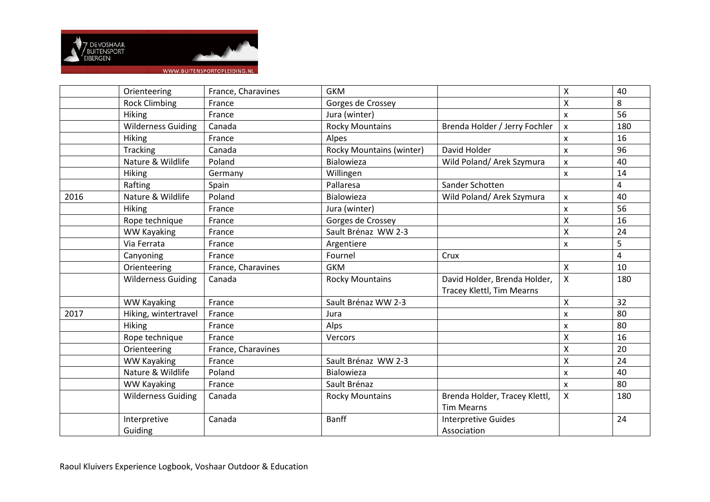

|      | Orienteering              | France, Charavines | <b>GKM</b>                      |                               | Χ | 40  |
|------|---------------------------|--------------------|---------------------------------|-------------------------------|---|-----|
|      | <b>Rock Climbing</b>      | France             | Gorges de Crossey               |                               | X | 8   |
|      | <b>Hiking</b>             | France             | Jura (winter)                   |                               | x | 56  |
|      | <b>Wilderness Guiding</b> | Canada             | <b>Rocky Mountains</b>          | Brenda Holder / Jerry Fochler | X | 180 |
|      | <b>Hiking</b>             | France             | Alpes                           |                               | X | 16  |
|      | Tracking                  | Canada             | <b>Rocky Mountains (winter)</b> | David Holder                  | X | 96  |
|      | Nature & Wildlife         | Poland             | <b>Bialowieza</b>               | Wild Poland/ Arek Szymura     | X | 40  |
|      | Hiking                    | Germany            | Willingen                       |                               | x | 14  |
|      | Rafting                   | Spain              | Pallaresa                       | Sander Schotten               |   | 4   |
| 2016 | Nature & Wildlife         | Poland             | <b>Bialowieza</b>               | Wild Poland/ Arek Szymura     | X | 40  |
|      | Hiking                    | France             | Jura (winter)                   |                               | x | 56  |
|      | Rope technique            | France             | Gorges de Crossey               |                               | X | 16  |
|      | <b>WW Kayaking</b>        | France             | Sault Brénaz WW 2-3             |                               | Χ | 24  |
|      | Via Ferrata               | France             | Argentiere                      |                               | x | 5   |
|      | Canyoning                 | France             | Fournel                         | Crux                          |   | 4   |
|      | Orienteering              | France, Charavines | <b>GKM</b>                      |                               | X | 10  |
|      | <b>Wilderness Guiding</b> | Canada             | <b>Rocky Mountains</b>          | David Holder, Brenda Holder,  | X | 180 |
|      |                           |                    |                                 | Tracey Klettl, Tim Mearns     |   |     |
|      | <b>WW Kayaking</b>        | France             | Sault Brénaz WW 2-3             |                               | Χ | 32  |
| 2017 | Hiking, wintertravel      | France             | Jura                            |                               | x | 80  |
|      | <b>Hiking</b>             | France             | Alps                            |                               | X | 80  |
|      | Rope technique            | France             | Vercors                         |                               | Χ | 16  |
|      | Orienteering              | France, Charavines |                                 |                               | Χ | 20  |
|      | <b>WW Kayaking</b>        | France             | Sault Brénaz WW 2-3             |                               | Χ | 24  |
|      | Nature & Wildlife         | Poland             | Bialowieza                      |                               | x | 40  |
|      | <b>WW Kayaking</b>        | France             | Sault Brénaz                    |                               | X | 80  |
|      | <b>Wilderness Guiding</b> | Canada             | <b>Rocky Mountains</b>          | Brenda Holder, Tracey Klettl, | X | 180 |
|      |                           |                    |                                 | <b>Tim Mearns</b>             |   |     |
|      | Interpretive              | Canada             | <b>Banff</b>                    | <b>Interpretive Guides</b>    |   | 24  |
|      | Guiding                   |                    |                                 | Association                   |   |     |